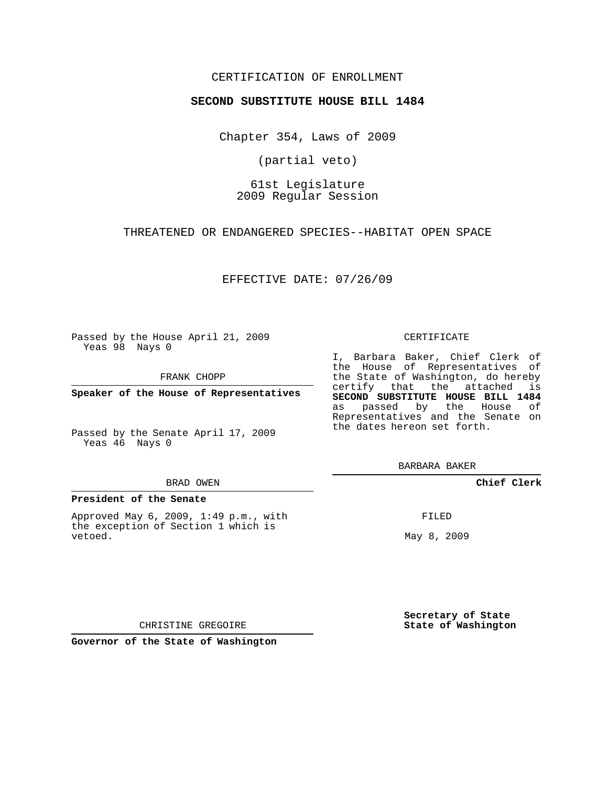# CERTIFICATION OF ENROLLMENT

## **SECOND SUBSTITUTE HOUSE BILL 1484**

Chapter 354, Laws of 2009

(partial veto)

61st Legislature 2009 Regular Session

THREATENED OR ENDANGERED SPECIES--HABITAT OPEN SPACE

EFFECTIVE DATE: 07/26/09

Passed by the House April 21, 2009 Yeas 98 Nays 0

FRANK CHOPP

**Speaker of the House of Representatives**

Passed by the Senate April 17, 2009 Yeas 46 Nays 0

#### BRAD OWEN

### **President of the Senate**

Approved May 6, 2009, 1:49 p.m., with the exception of Section 1 which is vetoed.

#### CERTIFICATE

I, Barbara Baker, Chief Clerk of the House of Representatives of the State of Washington, do hereby certify that the attached is **SECOND SUBSTITUTE HOUSE BILL 1484** as passed by the House of Representatives and the Senate on the dates hereon set forth.

BARBARA BAKER

**Chief Clerk**

FILED

May 8, 2009

**Secretary of State State of Washington**

CHRISTINE GREGOIRE

**Governor of the State of Washington**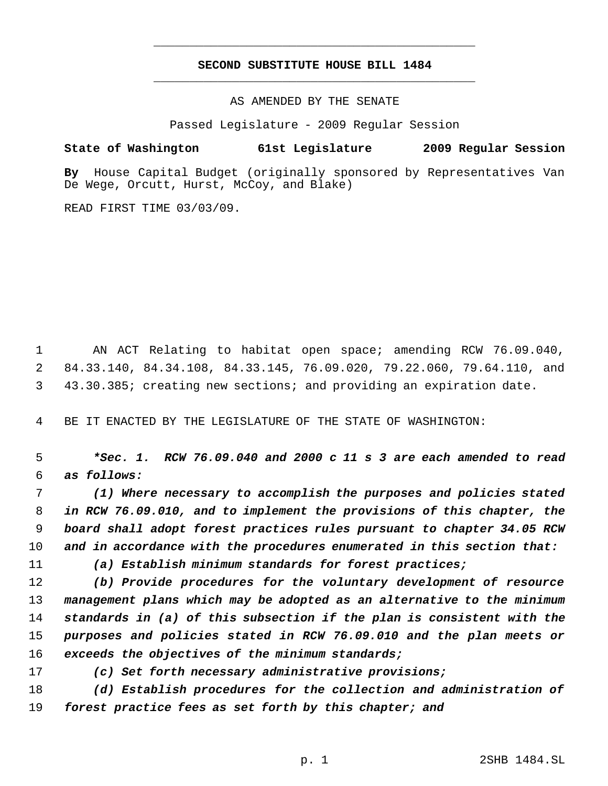# **SECOND SUBSTITUTE HOUSE BILL 1484** \_\_\_\_\_\_\_\_\_\_\_\_\_\_\_\_\_\_\_\_\_\_\_\_\_\_\_\_\_\_\_\_\_\_\_\_\_\_\_\_\_\_\_\_\_

\_\_\_\_\_\_\_\_\_\_\_\_\_\_\_\_\_\_\_\_\_\_\_\_\_\_\_\_\_\_\_\_\_\_\_\_\_\_\_\_\_\_\_\_\_

AS AMENDED BY THE SENATE

Passed Legislature - 2009 Regular Session

## **State of Washington 61st Legislature 2009 Regular Session**

**By** House Capital Budget (originally sponsored by Representatives Van De Wege, Orcutt, Hurst, McCoy, and Blake)

READ FIRST TIME 03/03/09.

 AN ACT Relating to habitat open space; amending RCW 76.09.040, 84.33.140, 84.34.108, 84.33.145, 76.09.020, 79.22.060, 79.64.110, and 43.30.385; creating new sections; and providing an expiration date.

BE IT ENACTED BY THE LEGISLATURE OF THE STATE OF WASHINGTON:

 *\*Sec. 1. RCW 76.09.040 and 2000 c 11 s 3 are each amended to read as follows:*

 *(1) Where necessary to accomplish the purposes and policies stated in RCW 76.09.010, and to implement the provisions of this chapter, the board shall adopt forest practices rules pursuant to chapter 34.05 RCW and in accordance with the procedures enumerated in this section that:*

*(a) Establish minimum standards for forest practices;*

 *(b) Provide procedures for the voluntary development of resource management plans which may be adopted as an alternative to the minimum standards in (a) of this subsection if the plan is consistent with the purposes and policies stated in RCW 76.09.010 and the plan meets or exceeds the objectives of the minimum standards;*

*(c) Set forth necessary administrative provisions;*

 *(d) Establish procedures for the collection and administration of forest practice fees as set forth by this chapter; and*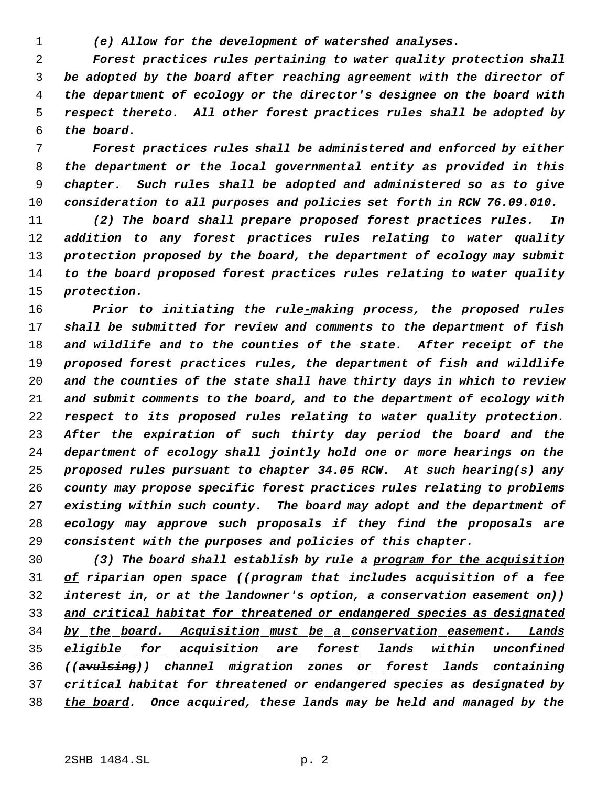*(e) Allow for the development of watershed analyses.*

 *Forest practices rules pertaining to water quality protection shall be adopted by the board after reaching agreement with the director of the department of ecology or the director's designee on the board with respect thereto. All other forest practices rules shall be adopted by the board.*

 *Forest practices rules shall be administered and enforced by either the department or the local governmental entity as provided in this chapter. Such rules shall be adopted and administered so as to give consideration to all purposes and policies set forth in RCW 76.09.010.*

 *(2) The board shall prepare proposed forest practices rules. In addition to any forest practices rules relating to water quality protection proposed by the board, the department of ecology may submit to the board proposed forest practices rules relating to water quality protection.*

 *Prior to initiating the rule-making process, the proposed rules shall be submitted for review and comments to the department of fish and wildlife and to the counties of the state. After receipt of the proposed forest practices rules, the department of fish and wildlife and the counties of the state shall have thirty days in which to review and submit comments to the board, and to the department of ecology with respect to its proposed rules relating to water quality protection. After the expiration of such thirty day period the board and the department of ecology shall jointly hold one or more hearings on the proposed rules pursuant to chapter 34.05 RCW. At such hearing(s) any county may propose specific forest practices rules relating to problems existing within such county. The board may adopt and the department of ecology may approve such proposals if they find the proposals are consistent with the purposes and policies of this chapter.*

 *(3) The board shall establish by rule a program for the acquisition of riparian open space ((program that includes acquisition of a fee interest in, or at the landowner's option, a conservation easement on)) and critical habitat for threatened or endangered species as designated by the board. Acquisition must be a conservation easement. Lands eligible for acquisition are forest lands within unconfined ((avulsing)) channel migration zones or forest lands containing critical habitat for threatened or endangered species as designated by the board. Once acquired, these lands may be held and managed by the*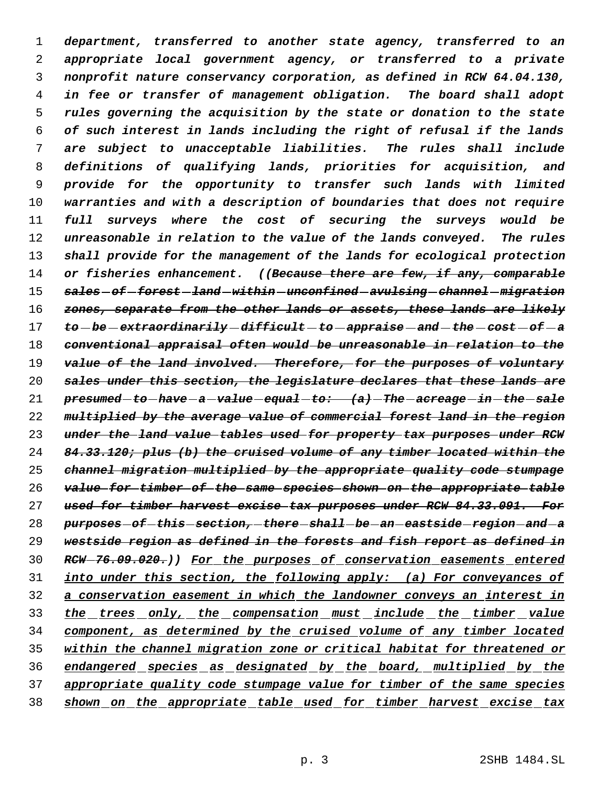*department, transferred to another state agency, transferred to an appropriate local government agency, or transferred to a private nonprofit nature conservancy corporation, as defined in RCW 64.04.130, in fee or transfer of management obligation. The board shall adopt rules governing the acquisition by the state or donation to the state of such interest in lands including the right of refusal if the lands are subject to unacceptable liabilities. The rules shall include definitions of qualifying lands, priorities for acquisition, and provide for the opportunity to transfer such lands with limited warranties and with a description of boundaries that does not require full surveys where the cost of securing the surveys would be unreasonable in relation to the value of the lands conveyed. The rules shall provide for the management of the lands for ecological protection or fisheries enhancement. ((Because there are few, if any, comparable sales of forest land within unconfined avulsing channel migration zones, separate from the other lands or assets, these lands are likely to be extraordinarily difficult to appraise and the cost of a conventional appraisal often would be unreasonable in relation to the value of the land involved. Therefore, for the purposes of voluntary sales under this section, the legislature declares that these lands are presumed to have a value equal to: (a) The acreage in the sale multiplied by the average value of commercial forest land in the region under the land value tables used for property tax purposes under RCW 84.33.120; plus (b) the cruised volume of any timber located within the channel migration multiplied by the appropriate quality code stumpage value for timber of the same species shown on the appropriate table used for timber harvest excise tax purposes under RCW 84.33.091. For purposes of this section, there shall be an eastside region and a westside region as defined in the forests and fish report as defined in RCW 76.09.020.)) For the purposes of conservation easements entered into under this section, the following apply: (a) For conveyances of a conservation easement in which the landowner conveys an interest in the trees only, the compensation must include the timber value component, as determined by the cruised volume of any timber located within the channel migration zone or critical habitat for threatened or endangered species as designated by the board, multiplied by the appropriate quality code stumpage value for timber of the same species shown on the appropriate table used for timber harvest excise tax*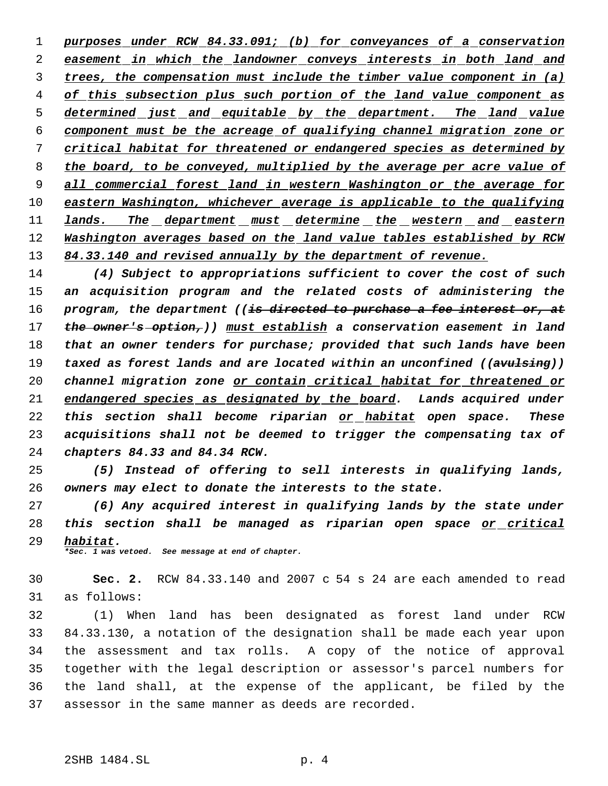*purposes under RCW 84.33.091; (b) for conveyances of a conservation easement in which the landowner conveys interests in both land and trees, the compensation must include the timber value component in (a) of this subsection plus such portion of the land value component as determined just and equitable by the department. The land value component must be the acreage of qualifying channel migration zone or critical habitat for threatened or endangered species as determined by the board, to be conveyed, multiplied by the average per acre value of all commercial forest land in western Washington or the average for eastern Washington, whichever average is applicable to the qualifying lands. The department must determine the western and eastern Washington averages based on the land value tables established by RCW 84.33.140 and revised annually by the department of revenue.*

 *(4) Subject to appropriations sufficient to cover the cost of such an acquisition program and the related costs of administering the program, the department ((is directed to purchase a fee interest or, at the owner's option,)) must establish a conservation easement in land that an owner tenders for purchase; provided that such lands have been taxed as forest lands and are located within an unconfined ((avulsing)) channel migration zone or contain critical habitat for threatened or endangered species as designated by the board. Lands acquired under this section shall become riparian or habitat open space. These acquisitions shall not be deemed to trigger the compensating tax of chapters 84.33 and 84.34 RCW.*

 *(5) Instead of offering to sell interests in qualifying lands, owners may elect to donate the interests to the state.*

 *(6) Any acquired interest in qualifying lands by the state under this section shall be managed as riparian open space or critical habitat.*

*\*Sec. 1 was vetoed. See message at end of chapter.*

 **Sec. 2.** RCW 84.33.140 and 2007 c 54 s 24 are each amended to read as follows:

 (1) When land has been designated as forest land under RCW 84.33.130, a notation of the designation shall be made each year upon the assessment and tax rolls. A copy of the notice of approval together with the legal description or assessor's parcel numbers for the land shall, at the expense of the applicant, be filed by the assessor in the same manner as deeds are recorded.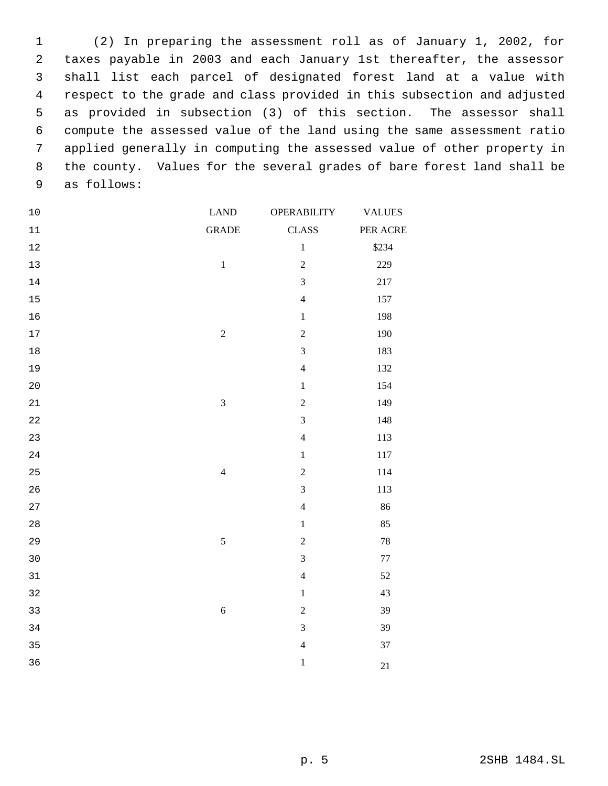(2) In preparing the assessment roll as of January 1, 2002, for taxes payable in 2003 and each January 1st thereafter, the assessor shall list each parcel of designated forest land at a value with respect to the grade and class provided in this subsection and adjusted as provided in subsection (3) of this section. The assessor shall compute the assessed value of the land using the same assessment ratio applied generally in computing the assessed value of other property in the county. Values for the several grades of bare forest land shall be as follows:

| $10$   | <b>LAND</b>             | <b>OPERABILITY</b> | <b>VALUES</b> |
|--------|-------------------------|--------------------|---------------|
| $11\,$ | <b>GRADE</b>            | <b>CLASS</b>       | PER ACRE      |
| $12\,$ |                         | $\,1$              | \$234         |
| $13$   | $\,1\,$                 | $\sqrt{2}$         | 229           |
| $14\,$ |                         | $\overline{3}$     | $217\,$       |
| $15\,$ |                         | $\overline{4}$     | 157           |
| 16     |                         | $\,1$              | 198           |
| $17\,$ | $\overline{c}$          | $\sqrt{2}$         | 190           |
| $18\,$ |                         | $\mathfrak{Z}$     | 183           |
| 19     |                         | $\overline{4}$     | 132           |
| $20$   |                         | $\,1$              | 154           |
| 21     | $\overline{\mathbf{3}}$ | $\overline{2}$     | 149           |
| 22     |                         | $\overline{3}$     | 148           |
| 23     |                         | $\overline{4}$     | 113           |
| 24     |                         | $\,1$              | 117           |
| 25     | $\overline{4}$          | $\sqrt{2}$         | 114           |
| 26     |                         | $\overline{3}$     | 113           |
| 27     |                         | $\overline{4}$     | 86            |
| 28     |                         | $\,1$              | 85            |
| 29     | 5                       | $\sqrt{2}$         | $78\,$        |
| 30     |                         | $\overline{3}$     | $77\,$        |
| $31\,$ |                         | $\overline{4}$     | $52\,$        |
| 32     |                         | $\,1$              | 43            |
| 33     | $\sqrt{6}$              | $\boldsymbol{2}$   | 39            |
| 34     |                         | $\overline{3}$     | 39            |
| 35     |                         | $\overline{4}$     | 37            |
| 36     |                         | $\,1\,$            | 21            |
|        |                         |                    |               |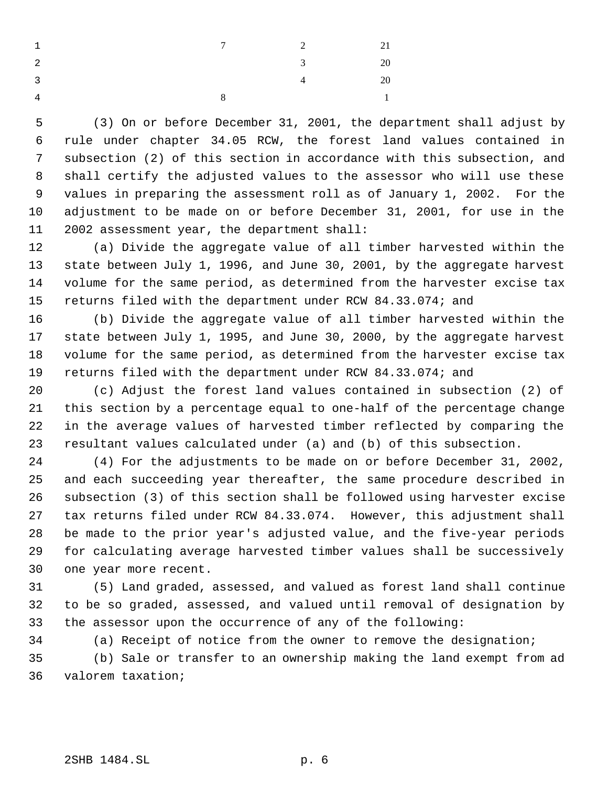| $\overline{1}$          |              | $7$ 2          | 21             |
|-------------------------|--------------|----------------|----------------|
| $\overline{2}$          |              | 3 <sup>1</sup> | 20             |
| $\overline{\mathbf{3}}$ |              | $\overline{4}$ | 20             |
| $\overline{4}$          | $\mathbf{R}$ |                | $\overline{1}$ |

 (3) On or before December 31, 2001, the department shall adjust by rule under chapter 34.05 RCW, the forest land values contained in subsection (2) of this section in accordance with this subsection, and shall certify the adjusted values to the assessor who will use these values in preparing the assessment roll as of January 1, 2002. For the adjustment to be made on or before December 31, 2001, for use in the 2002 assessment year, the department shall:

 (a) Divide the aggregate value of all timber harvested within the state between July 1, 1996, and June 30, 2001, by the aggregate harvest volume for the same period, as determined from the harvester excise tax returns filed with the department under RCW 84.33.074; and

 (b) Divide the aggregate value of all timber harvested within the state between July 1, 1995, and June 30, 2000, by the aggregate harvest volume for the same period, as determined from the harvester excise tax returns filed with the department under RCW 84.33.074; and

 (c) Adjust the forest land values contained in subsection (2) of this section by a percentage equal to one-half of the percentage change in the average values of harvested timber reflected by comparing the resultant values calculated under (a) and (b) of this subsection.

 (4) For the adjustments to be made on or before December 31, 2002, and each succeeding year thereafter, the same procedure described in subsection (3) of this section shall be followed using harvester excise tax returns filed under RCW 84.33.074. However, this adjustment shall be made to the prior year's adjusted value, and the five-year periods for calculating average harvested timber values shall be successively one year more recent.

 (5) Land graded, assessed, and valued as forest land shall continue to be so graded, assessed, and valued until removal of designation by the assessor upon the occurrence of any of the following:

 (a) Receipt of notice from the owner to remove the designation; (b) Sale or transfer to an ownership making the land exempt from ad valorem taxation;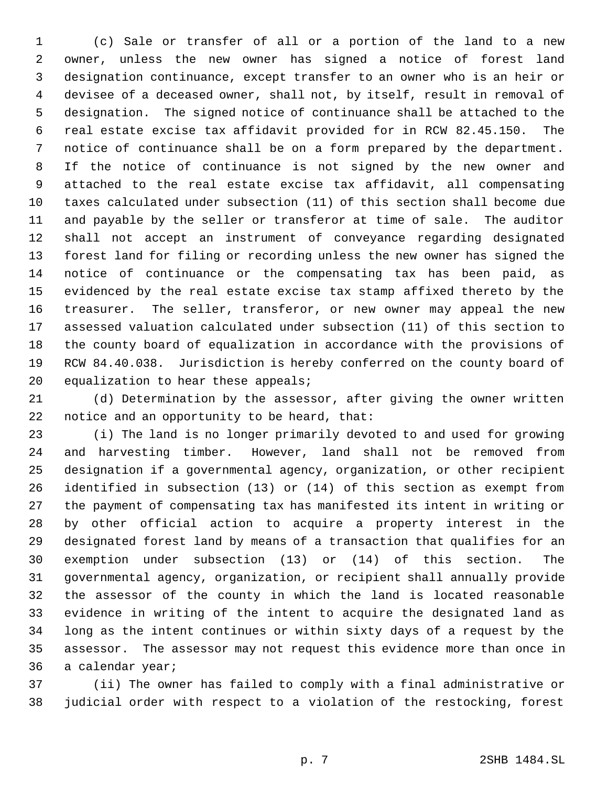(c) Sale or transfer of all or a portion of the land to a new owner, unless the new owner has signed a notice of forest land designation continuance, except transfer to an owner who is an heir or devisee of a deceased owner, shall not, by itself, result in removal of designation. The signed notice of continuance shall be attached to the real estate excise tax affidavit provided for in RCW 82.45.150. The notice of continuance shall be on a form prepared by the department. If the notice of continuance is not signed by the new owner and attached to the real estate excise tax affidavit, all compensating taxes calculated under subsection (11) of this section shall become due and payable by the seller or transferor at time of sale. The auditor shall not accept an instrument of conveyance regarding designated forest land for filing or recording unless the new owner has signed the notice of continuance or the compensating tax has been paid, as evidenced by the real estate excise tax stamp affixed thereto by the treasurer. The seller, transferor, or new owner may appeal the new assessed valuation calculated under subsection (11) of this section to the county board of equalization in accordance with the provisions of RCW 84.40.038. Jurisdiction is hereby conferred on the county board of 20 equalization to hear these appeals;

 (d) Determination by the assessor, after giving the owner written notice and an opportunity to be heard, that:

 (i) The land is no longer primarily devoted to and used for growing and harvesting timber. However, land shall not be removed from designation if a governmental agency, organization, or other recipient identified in subsection (13) or (14) of this section as exempt from the payment of compensating tax has manifested its intent in writing or by other official action to acquire a property interest in the designated forest land by means of a transaction that qualifies for an exemption under subsection (13) or (14) of this section. The governmental agency, organization, or recipient shall annually provide the assessor of the county in which the land is located reasonable evidence in writing of the intent to acquire the designated land as long as the intent continues or within sixty days of a request by the assessor. The assessor may not request this evidence more than once in a calendar year;

 (ii) The owner has failed to comply with a final administrative or judicial order with respect to a violation of the restocking, forest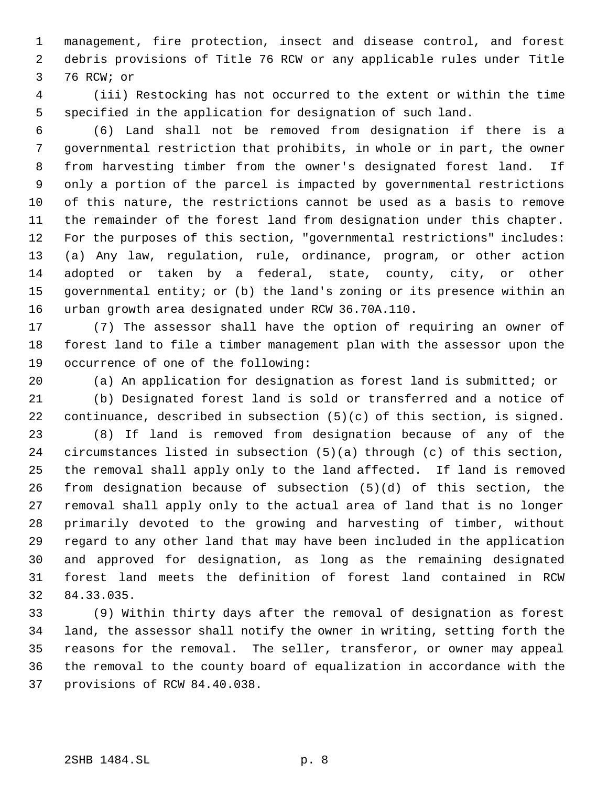management, fire protection, insect and disease control, and forest debris provisions of Title 76 RCW or any applicable rules under Title 76 RCW; or

 (iii) Restocking has not occurred to the extent or within the time specified in the application for designation of such land.

 (6) Land shall not be removed from designation if there is a governmental restriction that prohibits, in whole or in part, the owner from harvesting timber from the owner's designated forest land. If only a portion of the parcel is impacted by governmental restrictions of this nature, the restrictions cannot be used as a basis to remove the remainder of the forest land from designation under this chapter. For the purposes of this section, "governmental restrictions" includes: (a) Any law, regulation, rule, ordinance, program, or other action adopted or taken by a federal, state, county, city, or other governmental entity; or (b) the land's zoning or its presence within an urban growth area designated under RCW 36.70A.110.

 (7) The assessor shall have the option of requiring an owner of forest land to file a timber management plan with the assessor upon the occurrence of one of the following:

(a) An application for designation as forest land is submitted; or

 (b) Designated forest land is sold or transferred and a notice of continuance, described in subsection (5)(c) of this section, is signed.

 (8) If land is removed from designation because of any of the circumstances listed in subsection (5)(a) through (c) of this section, the removal shall apply only to the land affected. If land is removed from designation because of subsection (5)(d) of this section, the removal shall apply only to the actual area of land that is no longer primarily devoted to the growing and harvesting of timber, without regard to any other land that may have been included in the application and approved for designation, as long as the remaining designated forest land meets the definition of forest land contained in RCW 84.33.035.

 (9) Within thirty days after the removal of designation as forest land, the assessor shall notify the owner in writing, setting forth the reasons for the removal. The seller, transferor, or owner may appeal the removal to the county board of equalization in accordance with the provisions of RCW 84.40.038.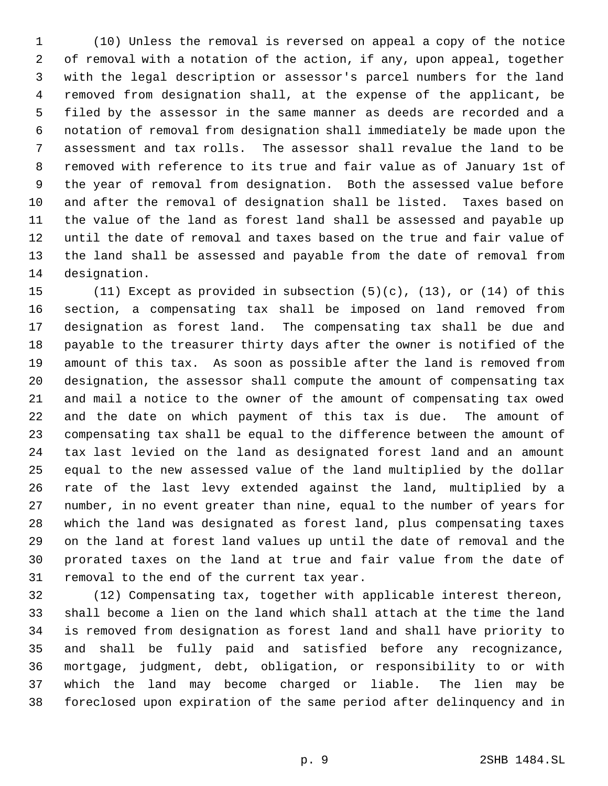(10) Unless the removal is reversed on appeal a copy of the notice of removal with a notation of the action, if any, upon appeal, together with the legal description or assessor's parcel numbers for the land removed from designation shall, at the expense of the applicant, be filed by the assessor in the same manner as deeds are recorded and a notation of removal from designation shall immediately be made upon the assessment and tax rolls. The assessor shall revalue the land to be removed with reference to its true and fair value as of January 1st of the year of removal from designation. Both the assessed value before and after the removal of designation shall be listed. Taxes based on the value of the land as forest land shall be assessed and payable up until the date of removal and taxes based on the true and fair value of the land shall be assessed and payable from the date of removal from designation.

 (11) Except as provided in subsection (5)(c), (13), or (14) of this section, a compensating tax shall be imposed on land removed from designation as forest land. The compensating tax shall be due and payable to the treasurer thirty days after the owner is notified of the amount of this tax. As soon as possible after the land is removed from designation, the assessor shall compute the amount of compensating tax and mail a notice to the owner of the amount of compensating tax owed and the date on which payment of this tax is due. The amount of compensating tax shall be equal to the difference between the amount of tax last levied on the land as designated forest land and an amount equal to the new assessed value of the land multiplied by the dollar rate of the last levy extended against the land, multiplied by a number, in no event greater than nine, equal to the number of years for which the land was designated as forest land, plus compensating taxes on the land at forest land values up until the date of removal and the prorated taxes on the land at true and fair value from the date of removal to the end of the current tax year.

 (12) Compensating tax, together with applicable interest thereon, shall become a lien on the land which shall attach at the time the land is removed from designation as forest land and shall have priority to and shall be fully paid and satisfied before any recognizance, mortgage, judgment, debt, obligation, or responsibility to or with which the land may become charged or liable. The lien may be foreclosed upon expiration of the same period after delinquency and in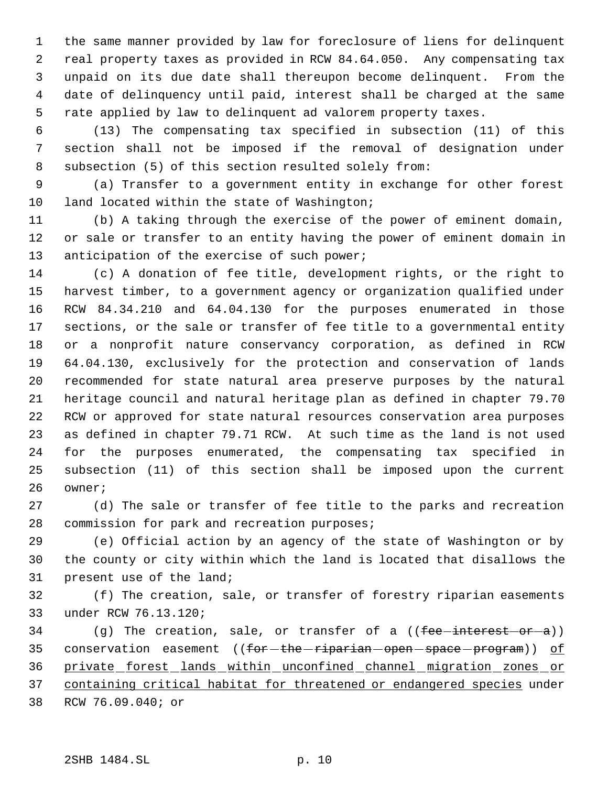the same manner provided by law for foreclosure of liens for delinquent real property taxes as provided in RCW 84.64.050. Any compensating tax unpaid on its due date shall thereupon become delinquent. From the date of delinquency until paid, interest shall be charged at the same rate applied by law to delinquent ad valorem property taxes.

 (13) The compensating tax specified in subsection (11) of this section shall not be imposed if the removal of designation under subsection (5) of this section resulted solely from:

 (a) Transfer to a government entity in exchange for other forest 10 land located within the state of Washington;

 (b) A taking through the exercise of the power of eminent domain, or sale or transfer to an entity having the power of eminent domain in 13 anticipation of the exercise of such power;

 (c) A donation of fee title, development rights, or the right to harvest timber, to a government agency or organization qualified under RCW 84.34.210 and 64.04.130 for the purposes enumerated in those sections, or the sale or transfer of fee title to a governmental entity or a nonprofit nature conservancy corporation, as defined in RCW 64.04.130, exclusively for the protection and conservation of lands recommended for state natural area preserve purposes by the natural heritage council and natural heritage plan as defined in chapter 79.70 RCW or approved for state natural resources conservation area purposes as defined in chapter 79.71 RCW. At such time as the land is not used for the purposes enumerated, the compensating tax specified in subsection (11) of this section shall be imposed upon the current owner;

 (d) The sale or transfer of fee title to the parks and recreation commission for park and recreation purposes;

 (e) Official action by an agency of the state of Washington or by the county or city within which the land is located that disallows the present use of the land;

 (f) The creation, sale, or transfer of forestry riparian easements under RCW 76.13.120;

34 (g) The creation, sale, or transfer of a (( $fee$ -interest-or-a)) 35 conservation easement ((for-the-riparian-open-space-program)) of private forest lands within unconfined channel migration zones or containing critical habitat for threatened or endangered species under RCW 76.09.040; or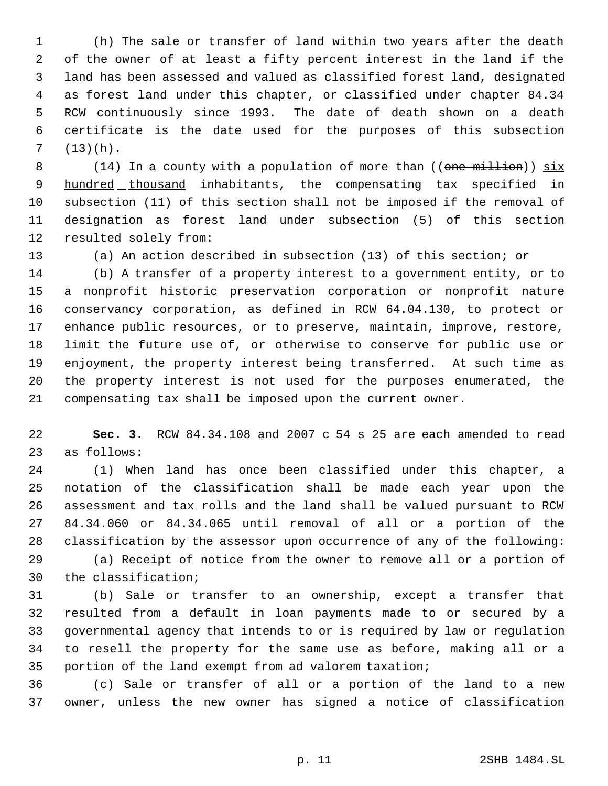(h) The sale or transfer of land within two years after the death of the owner of at least a fifty percent interest in the land if the land has been assessed and valued as classified forest land, designated as forest land under this chapter, or classified under chapter 84.34 RCW continuously since 1993. The date of death shown on a death certificate is the date used for the purposes of this subsection  $7 (13)(h).$ 

8 (14) In a county with a population of more than ((one million)) six 9 hundred thousand inhabitants, the compensating tax specified in subsection (11) of this section shall not be imposed if the removal of designation as forest land under subsection (5) of this section resulted solely from:

(a) An action described in subsection (13) of this section; or

 (b) A transfer of a property interest to a government entity, or to a nonprofit historic preservation corporation or nonprofit nature conservancy corporation, as defined in RCW 64.04.130, to protect or enhance public resources, or to preserve, maintain, improve, restore, limit the future use of, or otherwise to conserve for public use or enjoyment, the property interest being transferred. At such time as the property interest is not used for the purposes enumerated, the compensating tax shall be imposed upon the current owner.

 **Sec. 3.** RCW 84.34.108 and 2007 c 54 s 25 are each amended to read as follows:

 (1) When land has once been classified under this chapter, a notation of the classification shall be made each year upon the assessment and tax rolls and the land shall be valued pursuant to RCW 84.34.060 or 84.34.065 until removal of all or a portion of the classification by the assessor upon occurrence of any of the following:

 (a) Receipt of notice from the owner to remove all or a portion of the classification;

 (b) Sale or transfer to an ownership, except a transfer that resulted from a default in loan payments made to or secured by a governmental agency that intends to or is required by law or regulation to resell the property for the same use as before, making all or a portion of the land exempt from ad valorem taxation;

 (c) Sale or transfer of all or a portion of the land to a new owner, unless the new owner has signed a notice of classification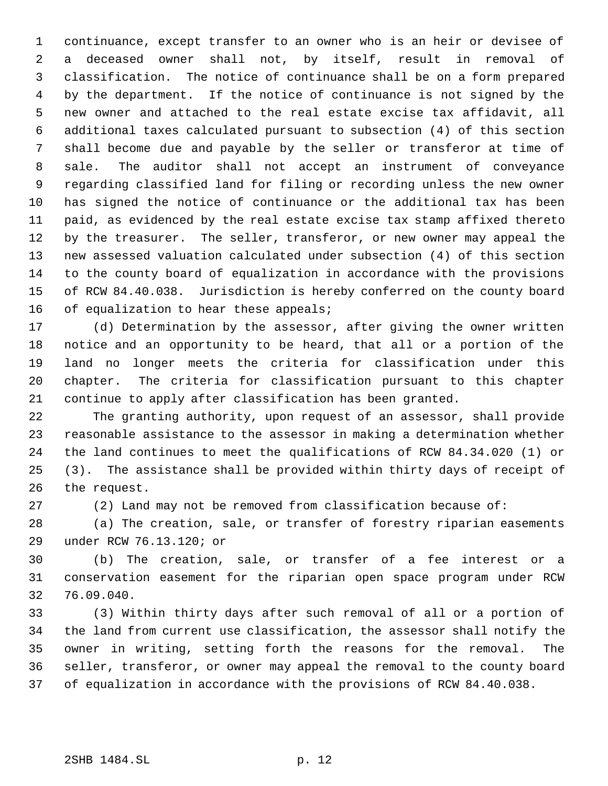continuance, except transfer to an owner who is an heir or devisee of a deceased owner shall not, by itself, result in removal of classification. The notice of continuance shall be on a form prepared by the department. If the notice of continuance is not signed by the new owner and attached to the real estate excise tax affidavit, all additional taxes calculated pursuant to subsection (4) of this section shall become due and payable by the seller or transferor at time of sale. The auditor shall not accept an instrument of conveyance regarding classified land for filing or recording unless the new owner has signed the notice of continuance or the additional tax has been paid, as evidenced by the real estate excise tax stamp affixed thereto by the treasurer. The seller, transferor, or new owner may appeal the new assessed valuation calculated under subsection (4) of this section to the county board of equalization in accordance with the provisions of RCW 84.40.038. Jurisdiction is hereby conferred on the county board 16 of equalization to hear these appeals;

 (d) Determination by the assessor, after giving the owner written notice and an opportunity to be heard, that all or a portion of the land no longer meets the criteria for classification under this chapter. The criteria for classification pursuant to this chapter continue to apply after classification has been granted.

 The granting authority, upon request of an assessor, shall provide reasonable assistance to the assessor in making a determination whether the land continues to meet the qualifications of RCW 84.34.020 (1) or (3). The assistance shall be provided within thirty days of receipt of the request.

(2) Land may not be removed from classification because of:

 (a) The creation, sale, or transfer of forestry riparian easements under RCW 76.13.120; or

 (b) The creation, sale, or transfer of a fee interest or a conservation easement for the riparian open space program under RCW 76.09.040.

 (3) Within thirty days after such removal of all or a portion of the land from current use classification, the assessor shall notify the owner in writing, setting forth the reasons for the removal. The seller, transferor, or owner may appeal the removal to the county board of equalization in accordance with the provisions of RCW 84.40.038.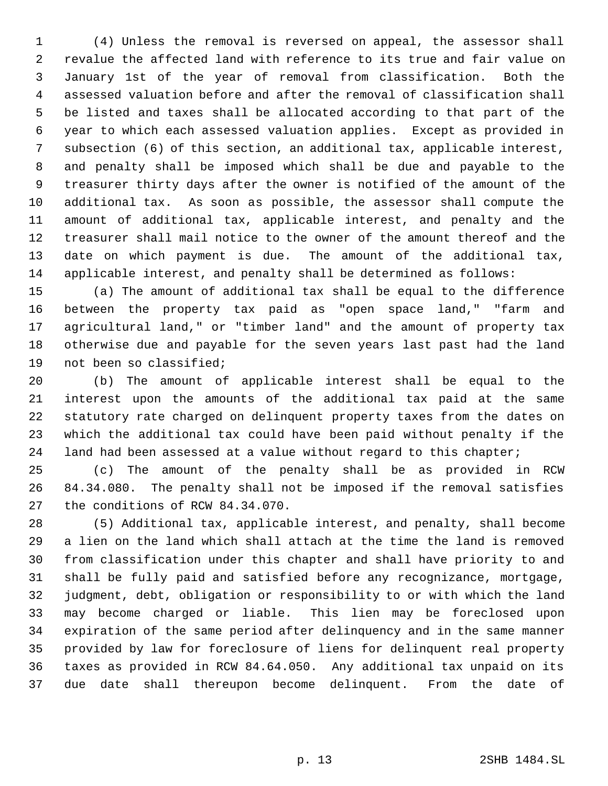(4) Unless the removal is reversed on appeal, the assessor shall revalue the affected land with reference to its true and fair value on January 1st of the year of removal from classification. Both the assessed valuation before and after the removal of classification shall be listed and taxes shall be allocated according to that part of the year to which each assessed valuation applies. Except as provided in subsection (6) of this section, an additional tax, applicable interest, and penalty shall be imposed which shall be due and payable to the treasurer thirty days after the owner is notified of the amount of the additional tax. As soon as possible, the assessor shall compute the amount of additional tax, applicable interest, and penalty and the treasurer shall mail notice to the owner of the amount thereof and the date on which payment is due. The amount of the additional tax, applicable interest, and penalty shall be determined as follows:

 (a) The amount of additional tax shall be equal to the difference between the property tax paid as "open space land," "farm and agricultural land," or "timber land" and the amount of property tax otherwise due and payable for the seven years last past had the land not been so classified;

 (b) The amount of applicable interest shall be equal to the interest upon the amounts of the additional tax paid at the same statutory rate charged on delinquent property taxes from the dates on which the additional tax could have been paid without penalty if the 24 land had been assessed at a value without regard to this chapter;

 (c) The amount of the penalty shall be as provided in RCW 84.34.080. The penalty shall not be imposed if the removal satisfies the conditions of RCW 84.34.070.

 (5) Additional tax, applicable interest, and penalty, shall become a lien on the land which shall attach at the time the land is removed from classification under this chapter and shall have priority to and shall be fully paid and satisfied before any recognizance, mortgage, judgment, debt, obligation or responsibility to or with which the land may become charged or liable. This lien may be foreclosed upon expiration of the same period after delinquency and in the same manner provided by law for foreclosure of liens for delinquent real property taxes as provided in RCW 84.64.050. Any additional tax unpaid on its due date shall thereupon become delinquent. From the date of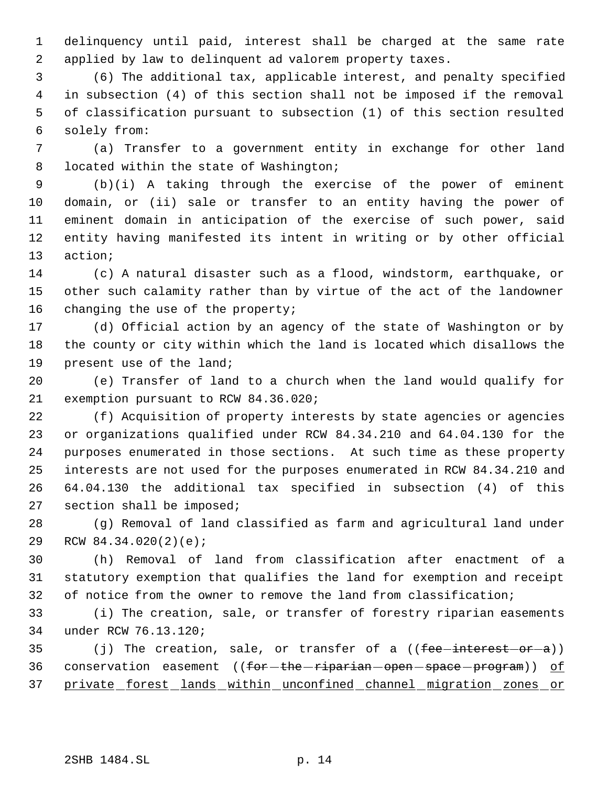delinquency until paid, interest shall be charged at the same rate applied by law to delinquent ad valorem property taxes.

 (6) The additional tax, applicable interest, and penalty specified in subsection (4) of this section shall not be imposed if the removal of classification pursuant to subsection (1) of this section resulted solely from:

 (a) Transfer to a government entity in exchange for other land 8 located within the state of Washington;

 (b)(i) A taking through the exercise of the power of eminent domain, or (ii) sale or transfer to an entity having the power of eminent domain in anticipation of the exercise of such power, said entity having manifested its intent in writing or by other official action;

 (c) A natural disaster such as a flood, windstorm, earthquake, or other such calamity rather than by virtue of the act of the landowner 16 changing the use of the property;

 (d) Official action by an agency of the state of Washington or by the county or city within which the land is located which disallows the present use of the land;

 (e) Transfer of land to a church when the land would qualify for exemption pursuant to RCW 84.36.020;

 (f) Acquisition of property interests by state agencies or agencies or organizations qualified under RCW 84.34.210 and 64.04.130 for the purposes enumerated in those sections. At such time as these property interests are not used for the purposes enumerated in RCW 84.34.210 and 64.04.130 the additional tax specified in subsection (4) of this section shall be imposed;

 (g) Removal of land classified as farm and agricultural land under RCW 84.34.020(2)(e);

 (h) Removal of land from classification after enactment of a statutory exemption that qualifies the land for exemption and receipt 32 of notice from the owner to remove the land from classification;

 (i) The creation, sale, or transfer of forestry riparian easements under RCW 76.13.120;

35 (j) The creation, sale, or transfer of a ((fee-interest-or-a)) 36 conservation easement ((for-the-riparian-open-space-program)) of private forest lands within unconfined channel migration zones or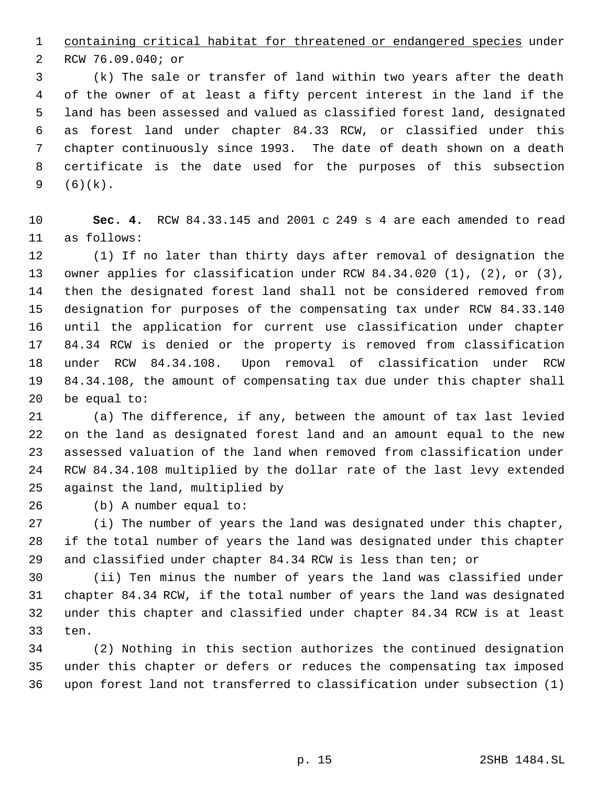containing critical habitat for threatened or endangered species under

RCW 76.09.040; or

 (k) The sale or transfer of land within two years after the death of the owner of at least a fifty percent interest in the land if the land has been assessed and valued as classified forest land, designated as forest land under chapter 84.33 RCW, or classified under this chapter continuously since 1993. The date of death shown on a death certificate is the date used for the purposes of this subsection (6)(k).

 **Sec. 4.** RCW 84.33.145 and 2001 c 249 s 4 are each amended to read as follows:

 (1) If no later than thirty days after removal of designation the owner applies for classification under RCW 84.34.020 (1), (2), or (3), then the designated forest land shall not be considered removed from designation for purposes of the compensating tax under RCW 84.33.140 until the application for current use classification under chapter 84.34 RCW is denied or the property is removed from classification under RCW 84.34.108. Upon removal of classification under RCW 84.34.108, the amount of compensating tax due under this chapter shall be equal to:

 (a) The difference, if any, between the amount of tax last levied on the land as designated forest land and an amount equal to the new assessed valuation of the land when removed from classification under RCW 84.34.108 multiplied by the dollar rate of the last levy extended against the land, multiplied by

(b) A number equal to:

 (i) The number of years the land was designated under this chapter, if the total number of years the land was designated under this chapter and classified under chapter 84.34 RCW is less than ten; or

 (ii) Ten minus the number of years the land was classified under chapter 84.34 RCW, if the total number of years the land was designated under this chapter and classified under chapter 84.34 RCW is at least ten.

 (2) Nothing in this section authorizes the continued designation under this chapter or defers or reduces the compensating tax imposed upon forest land not transferred to classification under subsection (1)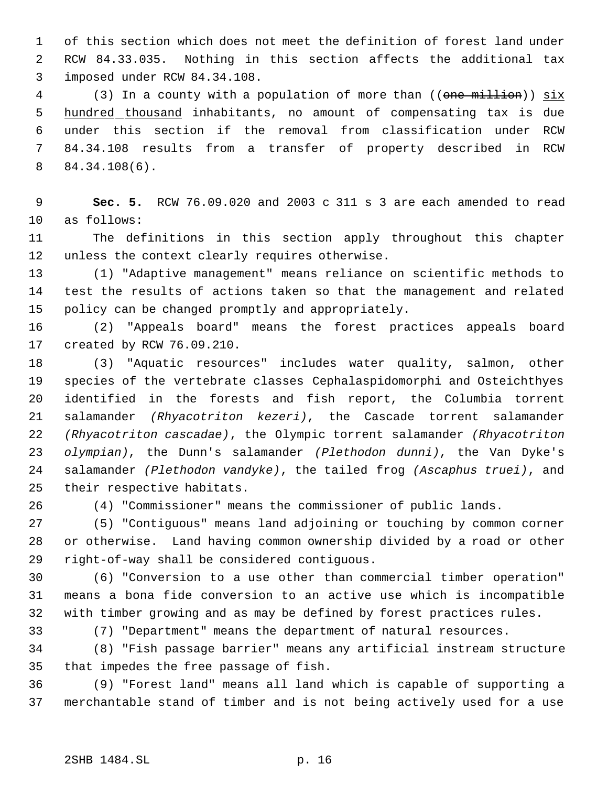of this section which does not meet the definition of forest land under RCW 84.33.035. Nothing in this section affects the additional tax imposed under RCW 84.34.108.

4 (3) In a county with a population of more than ((one million)) six 5 hundred thousand inhabitants, no amount of compensating tax is due under this section if the removal from classification under RCW 84.34.108 results from a transfer of property described in RCW 84.34.108(6).

 **Sec. 5.** RCW 76.09.020 and 2003 c 311 s 3 are each amended to read as follows:

 The definitions in this section apply throughout this chapter unless the context clearly requires otherwise.

 (1) "Adaptive management" means reliance on scientific methods to test the results of actions taken so that the management and related policy can be changed promptly and appropriately.

 (2) "Appeals board" means the forest practices appeals board created by RCW 76.09.210.

 (3) "Aquatic resources" includes water quality, salmon, other species of the vertebrate classes Cephalaspidomorphi and Osteichthyes identified in the forests and fish report, the Columbia torrent salamander *(Rhyacotriton kezeri)*, the Cascade torrent salamander *(Rhyacotriton cascadae)*, the Olympic torrent salamander *(Rhyacotriton olympian)*, the Dunn's salamander *(Plethodon dunni)*, the Van Dyke's salamander *(Plethodon vandyke)*, the tailed frog *(Ascaphus truei)*, and their respective habitats.

(4) "Commissioner" means the commissioner of public lands.

 (5) "Contiguous" means land adjoining or touching by common corner or otherwise. Land having common ownership divided by a road or other right-of-way shall be considered contiguous.

 (6) "Conversion to a use other than commercial timber operation" means a bona fide conversion to an active use which is incompatible with timber growing and as may be defined by forest practices rules.

(7) "Department" means the department of natural resources.

 (8) "Fish passage barrier" means any artificial instream structure that impedes the free passage of fish.

 (9) "Forest land" means all land which is capable of supporting a merchantable stand of timber and is not being actively used for a use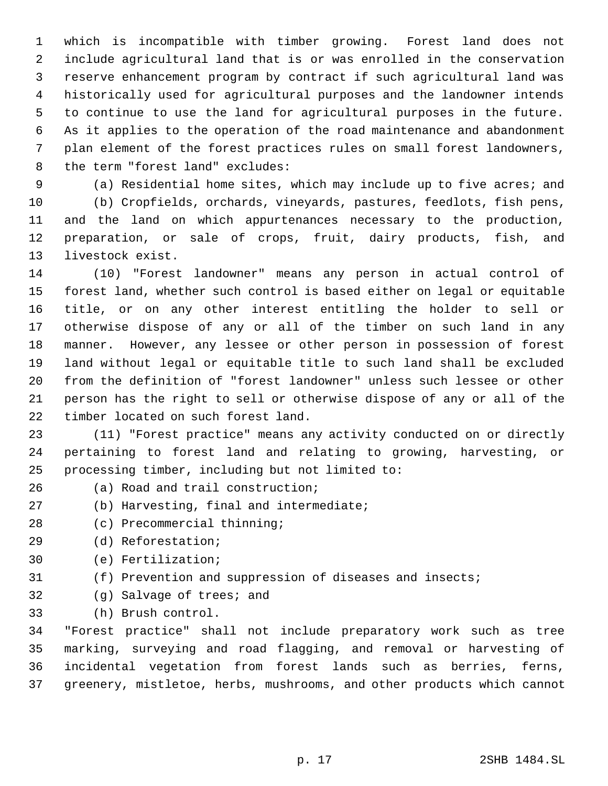which is incompatible with timber growing. Forest land does not include agricultural land that is or was enrolled in the conservation reserve enhancement program by contract if such agricultural land was historically used for agricultural purposes and the landowner intends to continue to use the land for agricultural purposes in the future. As it applies to the operation of the road maintenance and abandonment plan element of the forest practices rules on small forest landowners, the term "forest land" excludes:

 (a) Residential home sites, which may include up to five acres; and (b) Cropfields, orchards, vineyards, pastures, feedlots, fish pens, and the land on which appurtenances necessary to the production, preparation, or sale of crops, fruit, dairy products, fish, and livestock exist.

 (10) "Forest landowner" means any person in actual control of forest land, whether such control is based either on legal or equitable title, or on any other interest entitling the holder to sell or otherwise dispose of any or all of the timber on such land in any manner. However, any lessee or other person in possession of forest land without legal or equitable title to such land shall be excluded from the definition of "forest landowner" unless such lessee or other person has the right to sell or otherwise dispose of any or all of the timber located on such forest land.

 (11) "Forest practice" means any activity conducted on or directly pertaining to forest land and relating to growing, harvesting, or processing timber, including but not limited to:

- (a) Road and trail construction;
- (b) Harvesting, final and intermediate;
- (c) Precommercial thinning;
- (d) Reforestation;
- (e) Fertilization;
- (f) Prevention and suppression of diseases and insects;
- (g) Salvage of trees; and
- (h) Brush control.

 "Forest practice" shall not include preparatory work such as tree marking, surveying and road flagging, and removal or harvesting of incidental vegetation from forest lands such as berries, ferns, greenery, mistletoe, herbs, mushrooms, and other products which cannot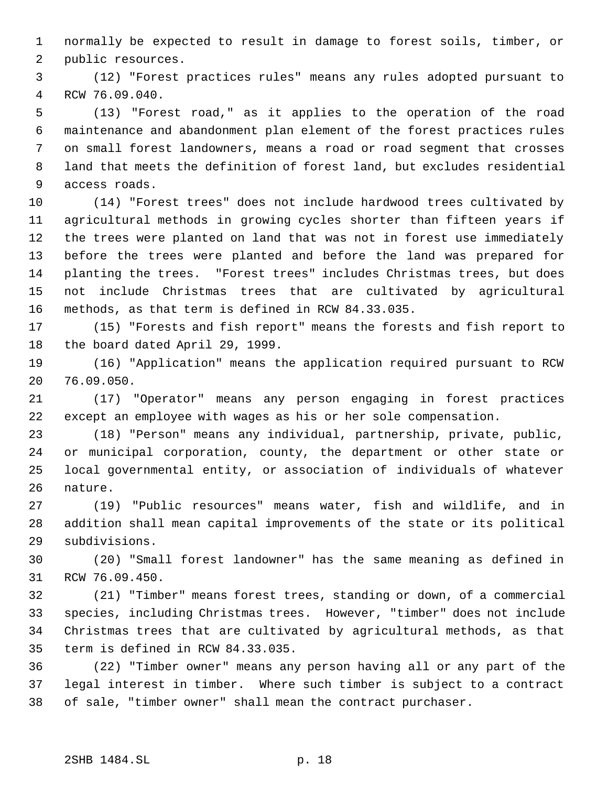normally be expected to result in damage to forest soils, timber, or public resources.

 (12) "Forest practices rules" means any rules adopted pursuant to RCW 76.09.040.

 (13) "Forest road," as it applies to the operation of the road maintenance and abandonment plan element of the forest practices rules on small forest landowners, means a road or road segment that crosses land that meets the definition of forest land, but excludes residential access roads.

 (14) "Forest trees" does not include hardwood trees cultivated by agricultural methods in growing cycles shorter than fifteen years if the trees were planted on land that was not in forest use immediately before the trees were planted and before the land was prepared for planting the trees. "Forest trees" includes Christmas trees, but does not include Christmas trees that are cultivated by agricultural methods, as that term is defined in RCW 84.33.035.

 (15) "Forests and fish report" means the forests and fish report to the board dated April 29, 1999.

 (16) "Application" means the application required pursuant to RCW 76.09.050.

 (17) "Operator" means any person engaging in forest practices except an employee with wages as his or her sole compensation.

 (18) "Person" means any individual, partnership, private, public, or municipal corporation, county, the department or other state or local governmental entity, or association of individuals of whatever nature.

 (19) "Public resources" means water, fish and wildlife, and in addition shall mean capital improvements of the state or its political subdivisions.

 (20) "Small forest landowner" has the same meaning as defined in RCW 76.09.450.

 (21) "Timber" means forest trees, standing or down, of a commercial species, including Christmas trees. However, "timber" does not include Christmas trees that are cultivated by agricultural methods, as that term is defined in RCW 84.33.035.

 (22) "Timber owner" means any person having all or any part of the legal interest in timber. Where such timber is subject to a contract of sale, "timber owner" shall mean the contract purchaser.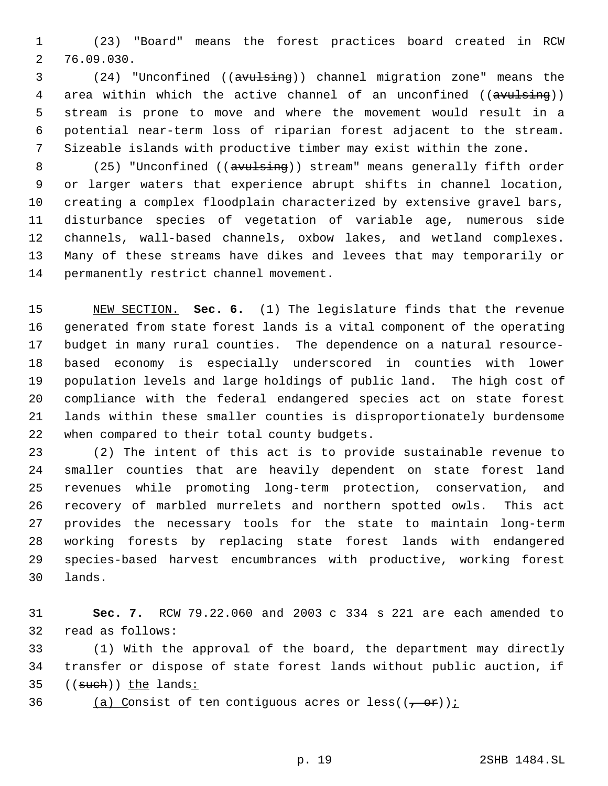(23) "Board" means the forest practices board created in RCW 76.09.030.

 (24) "Unconfined ((avulsing)) channel migration zone" means the 4 area within which the active channel of an unconfined ((avulsing)) stream is prone to move and where the movement would result in a potential near-term loss of riparian forest adjacent to the stream. Sizeable islands with productive timber may exist within the zone.

8 (25) "Unconfined ((avulsing)) stream" means generally fifth order or larger waters that experience abrupt shifts in channel location, creating a complex floodplain characterized by extensive gravel bars, disturbance species of vegetation of variable age, numerous side channels, wall-based channels, oxbow lakes, and wetland complexes. Many of these streams have dikes and levees that may temporarily or permanently restrict channel movement.

 NEW SECTION. **Sec. 6.** (1) The legislature finds that the revenue generated from state forest lands is a vital component of the operating budget in many rural counties. The dependence on a natural resource- based economy is especially underscored in counties with lower population levels and large holdings of public land. The high cost of compliance with the federal endangered species act on state forest lands within these smaller counties is disproportionately burdensome when compared to their total county budgets.

 (2) The intent of this act is to provide sustainable revenue to smaller counties that are heavily dependent on state forest land revenues while promoting long-term protection, conservation, and recovery of marbled murrelets and northern spotted owls. This act provides the necessary tools for the state to maintain long-term working forests by replacing state forest lands with endangered species-based harvest encumbrances with productive, working forest lands.

 **Sec. 7.** RCW 79.22.060 and 2003 c 334 s 221 are each amended to read as follows:

 (1) With the approval of the board, the department may directly transfer or dispose of state forest lands without public auction, if 35 ((such)) the lands:

36 (a) Consist of ten contiguous acres or less( $(\frac{1}{2} + \sigma \hat{r})$ ):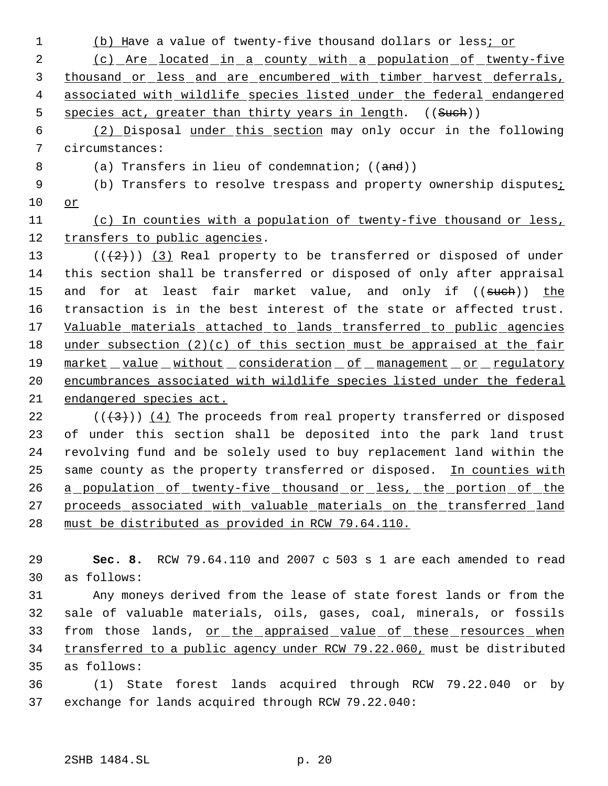1 (b) Have a value of twenty-five thousand dollars or less; or

2 (c) Are located in a county with a population of twenty-five 3 thousand or less and are encumbered with timber harvest deferrals, 4 associated with wildlife species listed under the federal endangered 5 species act, greater than thirty years in length. ((Such))

 6 (2) Disposal under this section may only occur in the following 7 circumstances:

8 (a) Transfers in lieu of condemnation; ((and))

9 (b) Transfers to resolve trespass and property ownership disputes; 10 or

11 (c) In counties with a population of twenty-five thousand or less, 12 transfers to public agencies.

 $((+2))$   $(3)$  Real property to be transferred or disposed of under this section shall be transferred or disposed of only after appraisal 15 and for at least fair market value, and only if ((such)) the transaction is in the best interest of the state or affected trust. Valuable materials attached to lands transferred to public agencies under subsection (2)(c) of this section must be appraised at the fair 19 market value without consideration of management or regulatory encumbrances associated with wildlife species listed under the federal endangered species act.

 $((+3))$  (4) The proceeds from real property transferred or disposed of under this section shall be deposited into the park land trust revolving fund and be solely used to buy replacement land within the 25 same county as the property transferred or disposed. In counties with 26 a population of twenty-five thousand or less, the portion of the proceeds associated with valuable materials on the transferred land must be distributed as provided in RCW 79.64.110.

29 **Sec. 8.** RCW 79.64.110 and 2007 c 503 s 1 are each amended to read 30 as follows:

31 Any moneys derived from the lease of state forest lands or from the 32 sale of valuable materials, oils, gases, coal, minerals, or fossils 33 from those lands, or the appraised value of these resources when 34 transferred to a public agency under RCW 79.22.060, must be distributed 35 as follows:

36 (1) State forest lands acquired through RCW 79.22.040 or by 37 exchange for lands acquired through RCW 79.22.040: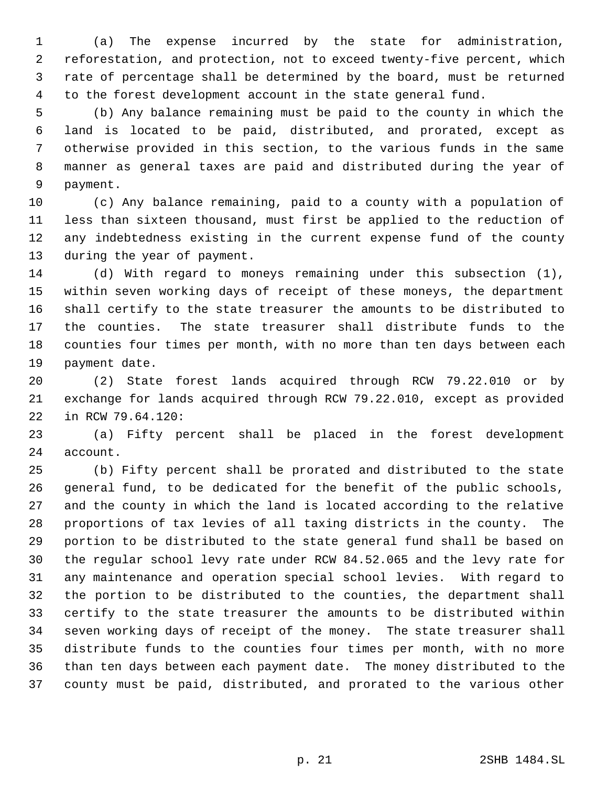(a) The expense incurred by the state for administration, reforestation, and protection, not to exceed twenty-five percent, which rate of percentage shall be determined by the board, must be returned to the forest development account in the state general fund.

 (b) Any balance remaining must be paid to the county in which the land is located to be paid, distributed, and prorated, except as otherwise provided in this section, to the various funds in the same manner as general taxes are paid and distributed during the year of payment.

 (c) Any balance remaining, paid to a county with a population of less than sixteen thousand, must first be applied to the reduction of any indebtedness existing in the current expense fund of the county during the year of payment.

 (d) With regard to moneys remaining under this subsection (1), within seven working days of receipt of these moneys, the department shall certify to the state treasurer the amounts to be distributed to the counties. The state treasurer shall distribute funds to the counties four times per month, with no more than ten days between each payment date.

 (2) State forest lands acquired through RCW 79.22.010 or by exchange for lands acquired through RCW 79.22.010, except as provided in RCW 79.64.120:

 (a) Fifty percent shall be placed in the forest development account.

 (b) Fifty percent shall be prorated and distributed to the state general fund, to be dedicated for the benefit of the public schools, and the county in which the land is located according to the relative proportions of tax levies of all taxing districts in the county. The portion to be distributed to the state general fund shall be based on the regular school levy rate under RCW 84.52.065 and the levy rate for any maintenance and operation special school levies. With regard to the portion to be distributed to the counties, the department shall certify to the state treasurer the amounts to be distributed within seven working days of receipt of the money. The state treasurer shall distribute funds to the counties four times per month, with no more than ten days between each payment date. The money distributed to the county must be paid, distributed, and prorated to the various other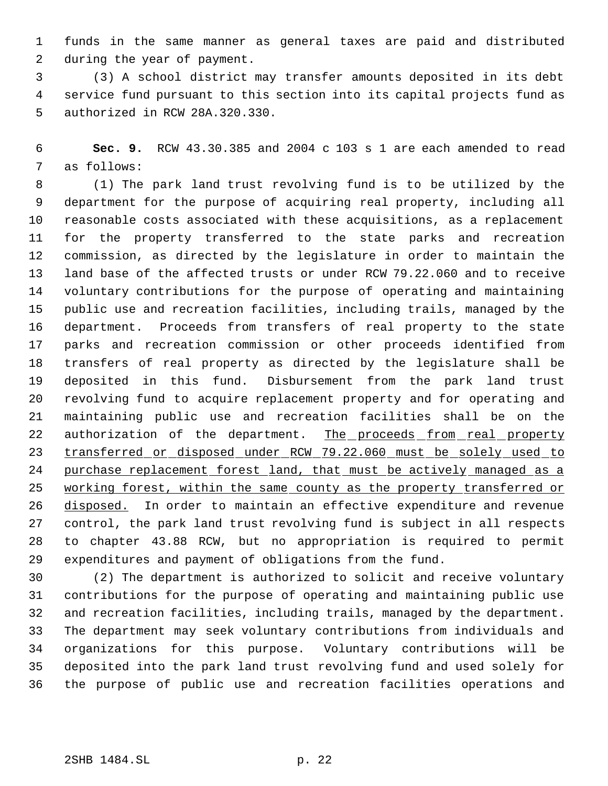funds in the same manner as general taxes are paid and distributed during the year of payment.

 (3) A school district may transfer amounts deposited in its debt service fund pursuant to this section into its capital projects fund as authorized in RCW 28A.320.330.

 **Sec. 9.** RCW 43.30.385 and 2004 c 103 s 1 are each amended to read as follows:

 (1) The park land trust revolving fund is to be utilized by the department for the purpose of acquiring real property, including all reasonable costs associated with these acquisitions, as a replacement for the property transferred to the state parks and recreation commission, as directed by the legislature in order to maintain the land base of the affected trusts or under RCW 79.22.060 and to receive voluntary contributions for the purpose of operating and maintaining public use and recreation facilities, including trails, managed by the department. Proceeds from transfers of real property to the state parks and recreation commission or other proceeds identified from transfers of real property as directed by the legislature shall be deposited in this fund. Disbursement from the park land trust revolving fund to acquire replacement property and for operating and maintaining public use and recreation facilities shall be on the 22 authorization of the department. The proceeds from real property 23 transferred or disposed under RCW 79.22.060 must be solely used to 24 purchase replacement forest land, that must be actively managed as a 25 working forest, within the same county as the property transferred or 26 disposed. In order to maintain an effective expenditure and revenue control, the park land trust revolving fund is subject in all respects to chapter 43.88 RCW, but no appropriation is required to permit expenditures and payment of obligations from the fund.

 (2) The department is authorized to solicit and receive voluntary contributions for the purpose of operating and maintaining public use and recreation facilities, including trails, managed by the department. The department may seek voluntary contributions from individuals and organizations for this purpose. Voluntary contributions will be deposited into the park land trust revolving fund and used solely for the purpose of public use and recreation facilities operations and